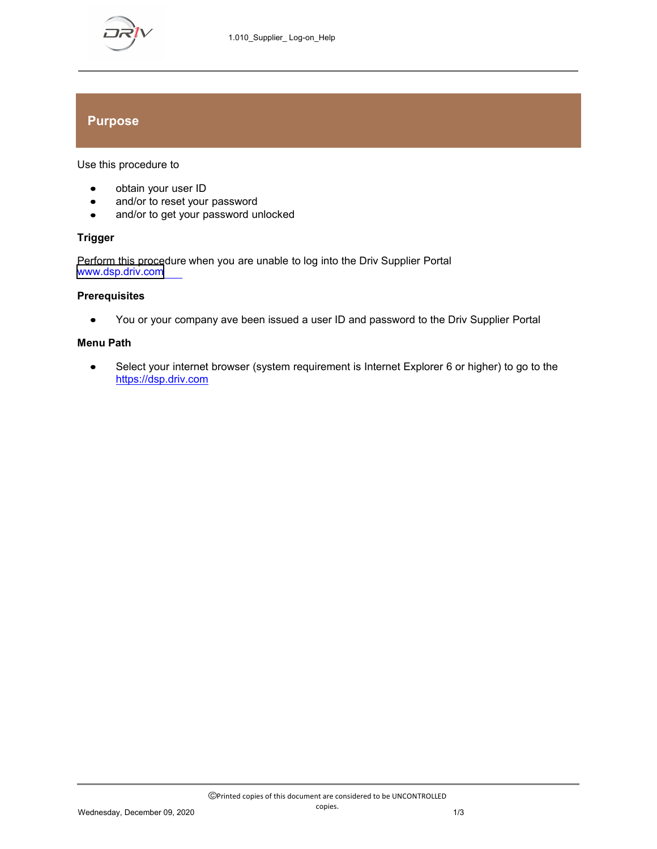

## **Purpose**

Use this procedure to

- obtain your user ID  $\bullet$
- and/or to reset your password  $\bullet$
- and/or to get your password unlocked  $\bullet$

### **Trigger**

Perform this procedure when you are unable to log into the Driv Supplier Portal www.<dsp.driv.com>

#### **Prerequisites**

You or your company ave been issued a user ID and password to the Driv Supplier Portal  $\bullet$ 

#### **Menu Path**

Select your internet browser (system requirement is Internet Explorer 6 or higher) to go to the  $\bullet$ https://dsp.driv.com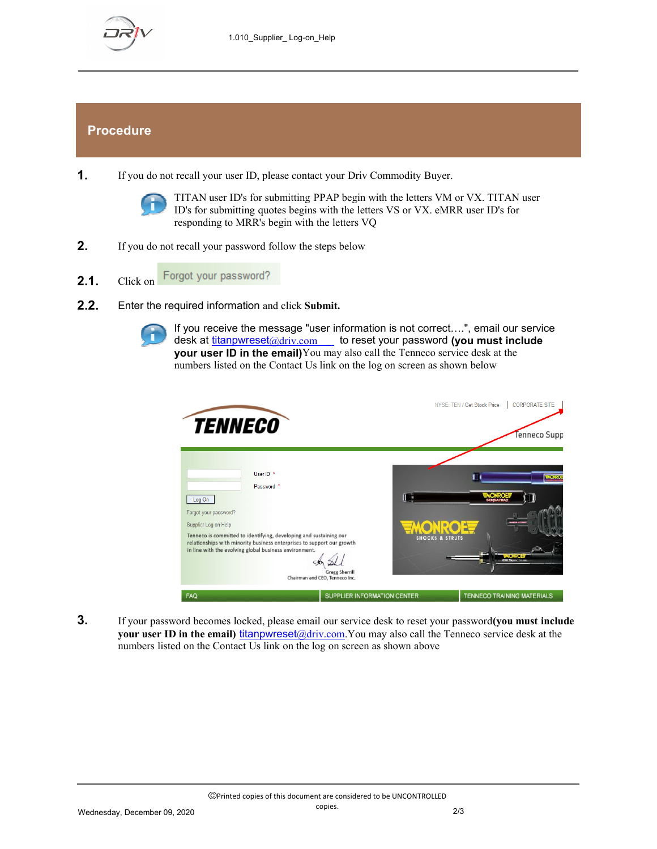

# **Procedure**

**1.** If you do not recall your user ID, please contact your Driv Commodity Buyer.



TITAN user ID's for submitting PPAP begin with the letters VM or VX. TITAN user ID's for submitting quotes begins with the letters VS or VX. eMRR user ID's for responding to MRR's begin with the letters VQ

- **2.** If you do not recall your password follow the steps below
- Forgot your password? **2.1.** Click on
- **2.2.** Enter the required information and click **Submit.**



If you receive the message "user information is not correct....", email our service desk at titanpwreset@driv.com to reset your password (you must include **your user ID in the email)**You may also call the Tenneco service desk at the numbers listed on the Contact Us link on the log on screen as shown below



**3.** If your password becomes locked, please email our service desk to reset your password**(you must include your user ID in the email)** titanpwreset@driv.com.You may also call the Tenneco service desk at the numbers listed on the Contact Us link on the log on screen as shown above